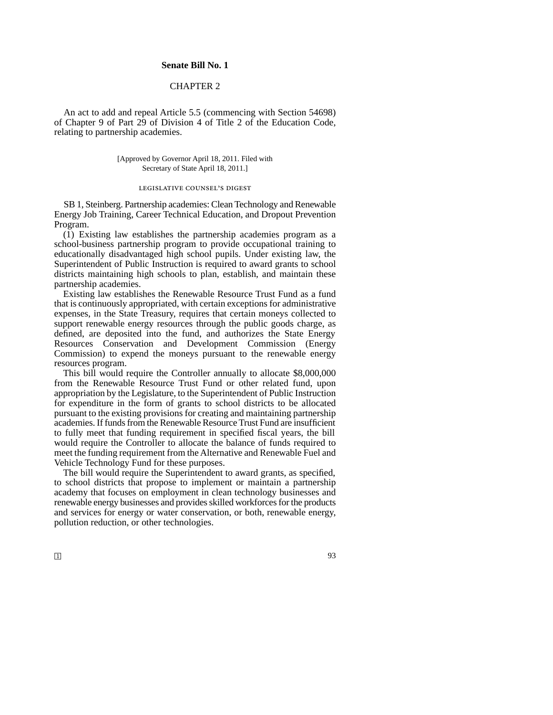## **Senate Bill No. 1**

## CHAPTER 2

An act to add and repeal Article 5.5 (commencing with Section 54698) of Chapter 9 of Part 29 of Division 4 of Title 2 of the Education Code, relating to partnership academies.

> [Approved by Governor April 18, 2011. Filed with Secretary of State April 18, 2011.]

## legislative counsel's digest

SB 1, Steinberg. Partnership academies: Clean Technology and Renewable Energy Job Training, Career Technical Education, and Dropout Prevention Program.

(1) Existing law establishes the partnership academies program as a school-business partnership program to provide occupational training to educationally disadvantaged high school pupils. Under existing law, the Superintendent of Public Instruction is required to award grants to school districts maintaining high schools to plan, establish, and maintain these partnership academies.

Existing law establishes the Renewable Resource Trust Fund as a fund that is continuously appropriated, with certain exceptions for administrative expenses, in the State Treasury, requires that certain moneys collected to support renewable energy resources through the public goods charge, as defined, are deposited into the fund, and authorizes the State Energy Resources Conservation and Development Commission (Energy Commission) to expend the moneys pursuant to the renewable energy resources program.

This bill would require the Controller annually to allocate \$8,000,000 from the Renewable Resource Trust Fund or other related fund, upon appropriation by the Legislature, to the Superintendent of Public Instruction for expenditure in the form of grants to school districts to be allocated pursuant to the existing provisions for creating and maintaining partnership academies. If funds from the Renewable Resource Trust Fund are insufficient to fully meet that funding requirement in specified fiscal years, the bill would require the Controller to allocate the balance of funds required to meet the funding requirement from the Alternative and Renewable Fuel and Vehicle Technology Fund for these purposes.

The bill would require the Superintendent to award grants, as specified, to school districts that propose to implement or maintain a partnership academy that focuses on employment in clean technology businesses and renewable energy businesses and provides skilled workforces for the products and services for energy or water conservation, or both, renewable energy, pollution reduction, or other technologies.

 $\Box$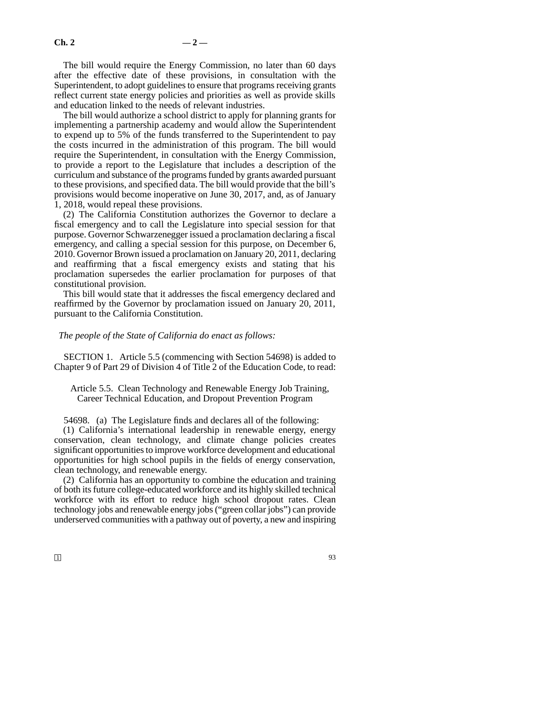The bill would require the Energy Commission, no later than 60 days after the effective date of these provisions, in consultation with the Superintendent, to adopt guidelines to ensure that programs receiving grants reflect current state energy policies and priorities as well as provide skills and education linked to the needs of relevant industries.

The bill would authorize a school district to apply for planning grants for implementing a partnership academy and would allow the Superintendent to expend up to 5% of the funds transferred to the Superintendent to pay the costs incurred in the administration of this program. The bill would require the Superintendent, in consultation with the Energy Commission, to provide a report to the Legislature that includes a description of the curriculum and substance of the programs funded by grants awarded pursuant to these provisions, and specified data. The bill would provide that the bill's provisions would become inoperative on June 30, 2017, and, as of January 1, 2018, would repeal these provisions.

(2) The California Constitution authorizes the Governor to declare a fiscal emergency and to call the Legislature into special session for that purpose. Governor Schwarzenegger issued a proclamation declaring a fiscal emergency, and calling a special session for this purpose, on December 6, 2010. Governor Brown issued a proclamation on January 20, 2011, declaring and reaffirming that a fiscal emergency exists and stating that his proclamation supersedes the earlier proclamation for purposes of that constitutional provision.

This bill would state that it addresses the fiscal emergency declared and reaffirmed by the Governor by proclamation issued on January 20, 2011, pursuant to the California Constitution.

*The people of the State of California do enact as follows:*

SECTION 1. Article 5.5 (commencing with Section 54698) is added to Chapter 9 of Part 29 of Division 4 of Title 2 of the Education Code, to read:

Article 5.5. Clean Technology and Renewable Energy Job Training, Career Technical Education, and Dropout Prevention Program

54698. (a) The Legislature finds and declares all of the following:

(1) California's international leadership in renewable energy, energy conservation, clean technology, and climate change policies creates significant opportunities to improve workforce development and educational opportunities for high school pupils in the fields of energy conservation, clean technology, and renewable energy.

(2) California has an opportunity to combine the education and training of both its future college-educated workforce and its highly skilled technical workforce with its effort to reduce high school dropout rates. Clean technology jobs and renewable energy jobs ("green collar jobs") can provide underserved communities with a pathway out of poverty, a new and inspiring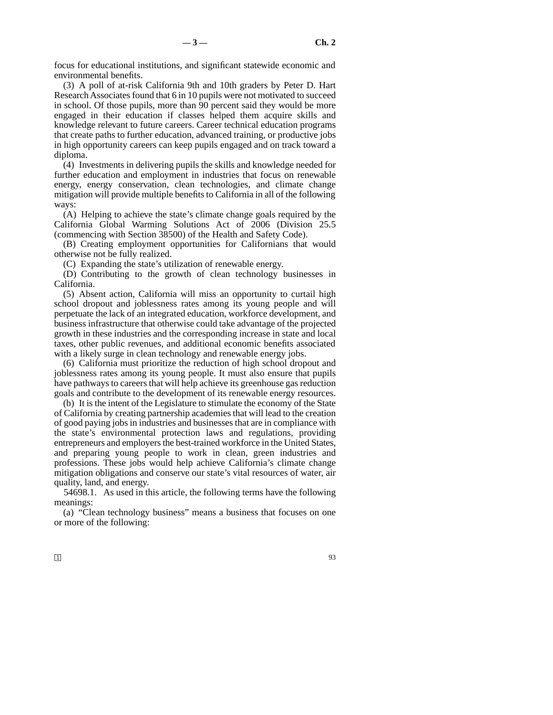focus for educational institutions, and significant statewide economic and environmental benefits.

(3) A poll of at-risk California 9th and 10th graders by Peter D. Hart Research Associates found that 6 in 10 pupils were not motivated to succeed in school. Of those pupils, more than 90 percent said they would be more engaged in their education if classes helped them acquire skills and knowledge relevant to future careers. Career technical education programs that create paths to further education, advanced training, or productive jobs in high opportunity careers can keep pupils engaged and on track toward a diploma.

(4) Investments in delivering pupils the skills and knowledge needed for further education and employment in industries that focus on renewable energy, energy conservation, clean technologies, and climate change mitigation will provide multiple benefits to California in all of the following ways:

(A) Helping to achieve the state's climate change goals required by the California Global Warming Solutions Act of 2006 (Division 25.5 (commencing with Section 38500) of the Health and Safety Code).

(B) Creating employment opportunities for Californians that would otherwise not be fully realized.

(C) Expanding the state's utilization of renewable energy.

(D) Contributing to the growth of clean technology businesses in California.

(5) Absent action, California will miss an opportunity to curtail high school dropout and joblessness rates among its young people and will perpetuate the lack of an integrated education, workforce development, and business infrastructure that otherwise could take advantage of the projected growth in these industries and the corresponding increase in state and local taxes, other public revenues, and additional economic benefits associated with a likely surge in clean technology and renewable energy jobs.

(6) California must prioritize the reduction of high school dropout and joblessness rates among its young people. It must also ensure that pupils have pathways to careers that will help achieve its greenhouse gas reduction goals and contribute to the development of its renewable energy resources.

(b) It is the intent of the Legislature to stimulate the economy of the State of California by creating partnership academies that will lead to the creation of good paying jobs in industries and businesses that are in compliance with the state's environmental protection laws and regulations, providing entrepreneurs and employers the best-trained workforce in the United States, and preparing young people to work in clean, green industries and professions. These jobs would help achieve California's climate change mitigation obligations and conserve our state's vital resources of water, air quality, land, and energy.

54698.1. As used in this article, the following terms have the following meanings:

(a) "Clean technology business" means a business that focuses on one or more of the following: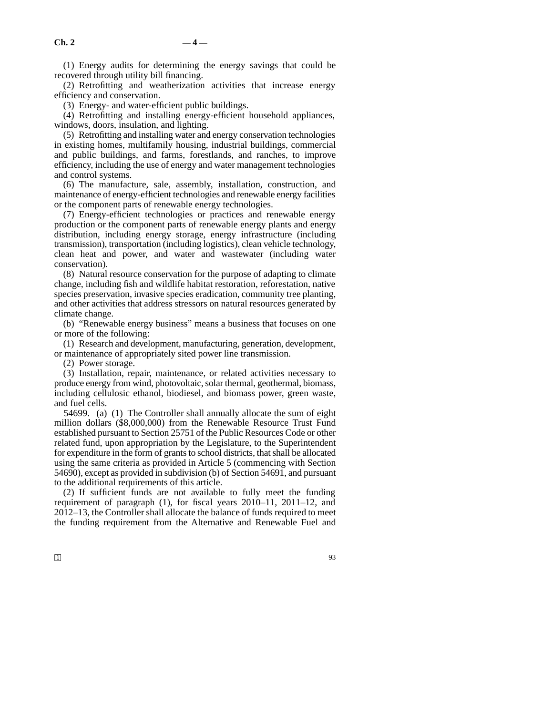(1) Energy audits for determining the energy savings that could be recovered through utility bill financing.

(2) Retrofitting and weatherization activities that increase energy efficiency and conservation.

(3) Energy- and water-efficient public buildings.

(4) Retrofitting and installing energy-efficient household appliances, windows, doors, insulation, and lighting.

(5) Retrofitting and installing water and energy conservation technologies in existing homes, multifamily housing, industrial buildings, commercial and public buildings, and farms, forestlands, and ranches, to improve efficiency, including the use of energy and water management technologies and control systems.

(6) The manufacture, sale, assembly, installation, construction, and maintenance of energy-efficient technologies and renewable energy facilities or the component parts of renewable energy technologies.

(7) Energy-efficient technologies or practices and renewable energy production or the component parts of renewable energy plants and energy distribution, including energy storage, energy infrastructure (including transmission), transportation (including logistics), clean vehicle technology, clean heat and power, and water and wastewater (including water conservation).

(8) Natural resource conservation for the purpose of adapting to climate change, including fish and wildlife habitat restoration, reforestation, native species preservation, invasive species eradication, community tree planting, and other activities that address stressors on natural resources generated by climate change.

(b) "Renewable energy business" means a business that focuses on one or more of the following:

(1) Research and development, manufacturing, generation, development, or maintenance of appropriately sited power line transmission.

(2) Power storage.

(3) Installation, repair, maintenance, or related activities necessary to produce energy from wind, photovoltaic, solar thermal, geothermal, biomass, including cellulosic ethanol, biodiesel, and biomass power, green waste, and fuel cells.

54699. (a) (1) The Controller shall annually allocate the sum of eight million dollars (\$8,000,000) from the Renewable Resource Trust Fund established pursuant to Section 25751 of the Public Resources Code or other related fund, upon appropriation by the Legislature, to the Superintendent for expenditure in the form of grants to school districts, that shall be allocated using the same criteria as provided in Article 5 (commencing with Section 54690), except as provided in subdivision (b) of Section 54691, and pursuant to the additional requirements of this article.

(2) If sufficient funds are not available to fully meet the funding requirement of paragraph (1), for fiscal years 2010–11, 2011–12, and 2012–13, the Controller shall allocate the balance of funds required to meet the funding requirement from the Alternative and Renewable Fuel and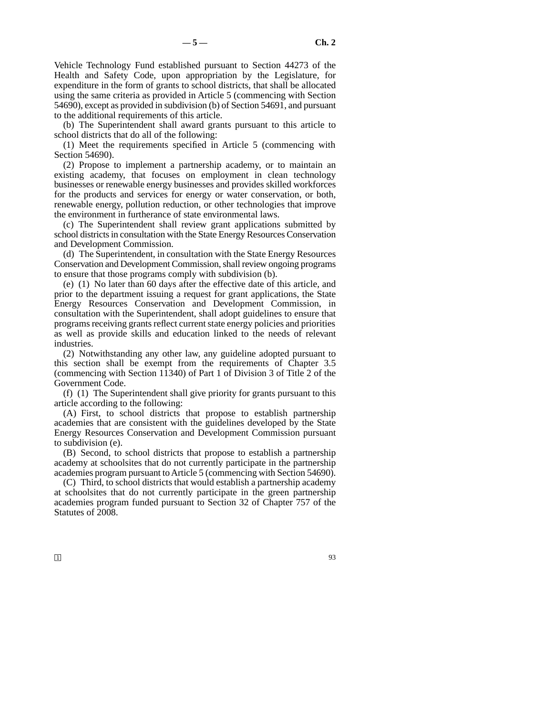Vehicle Technology Fund established pursuant to Section 44273 of the Health and Safety Code, upon appropriation by the Legislature, for expenditure in the form of grants to school districts, that shall be allocated using the same criteria as provided in Article 5 (commencing with Section 54690), except as provided in subdivision (b) of Section 54691, and pursuant to the additional requirements of this article.

(b) The Superintendent shall award grants pursuant to this article to school districts that do all of the following:

(1) Meet the requirements specified in Article 5 (commencing with Section 54690).

(2) Propose to implement a partnership academy, or to maintain an existing academy, that focuses on employment in clean technology businesses or renewable energy businesses and provides skilled workforces for the products and services for energy or water conservation, or both, renewable energy, pollution reduction, or other technologies that improve the environment in furtherance of state environmental laws.

(c) The Superintendent shall review grant applications submitted by school districts in consultation with the State Energy Resources Conservation and Development Commission.

(d) The Superintendent, in consultation with the State Energy Resources Conservation and Development Commission, shall review ongoing programs to ensure that those programs comply with subdivision (b).

(e) (1) No later than 60 days after the effective date of this article, and prior to the department issuing a request for grant applications, the State Energy Resources Conservation and Development Commission, in consultation with the Superintendent, shall adopt guidelines to ensure that programs receiving grants reflect current state energy policies and priorities as well as provide skills and education linked to the needs of relevant industries.

(2) Notwithstanding any other law, any guideline adopted pursuant to this section shall be exempt from the requirements of Chapter 3.5 (commencing with Section 11340) of Part 1 of Division 3 of Title 2 of the Government Code.

(f) (1) The Superintendent shall give priority for grants pursuant to this article according to the following:

(A) First, to school districts that propose to establish partnership academies that are consistent with the guidelines developed by the State Energy Resources Conservation and Development Commission pursuant to subdivision (e).

(B) Second, to school districts that propose to establish a partnership academy at schoolsites that do not currently participate in the partnership academies program pursuant to Article 5 (commencing with Section 54690).

(C) Third, to school districts that would establish a partnership academy at schoolsites that do not currently participate in the green partnership academies program funded pursuant to Section 32 of Chapter 757 of the Statutes of 2008.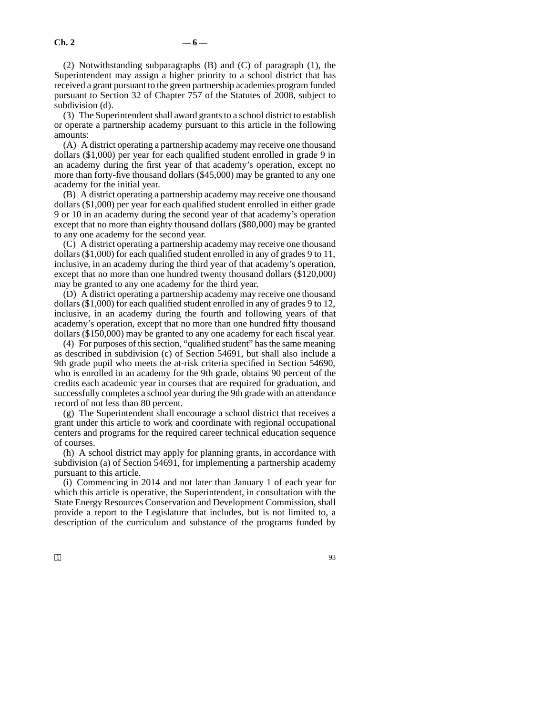(2) Notwithstanding subparagraphs (B) and (C) of paragraph (1), the Superintendent may assign a higher priority to a school district that has received a grant pursuant to the green partnership academies program funded pursuant to Section 32 of Chapter 757 of the Statutes of 2008, subject to subdivision (d).

(3) The Superintendent shall award grants to a school district to establish or operate a partnership academy pursuant to this article in the following amounts:

(A) A district operating a partnership academy may receive one thousand dollars (\$1,000) per year for each qualified student enrolled in grade 9 in an academy during the first year of that academy's operation, except no more than forty-five thousand dollars (\$45,000) may be granted to any one academy for the initial year.

(B) A district operating a partnership academy may receive one thousand dollars (\$1,000) per year for each qualified student enrolled in either grade 9 or 10 in an academy during the second year of that academy's operation except that no more than eighty thousand dollars (\$80,000) may be granted to any one academy for the second year.

(C) A district operating a partnership academy may receive one thousand dollars (\$1,000) for each qualified student enrolled in any of grades 9 to 11, inclusive, in an academy during the third year of that academy's operation, except that no more than one hundred twenty thousand dollars (\$120,000) may be granted to any one academy for the third year.

(D) A district operating a partnership academy may receive one thousand dollars (\$1,000) for each qualified student enrolled in any of grades 9 to 12, inclusive, in an academy during the fourth and following years of that academy's operation, except that no more than one hundred fifty thousand dollars (\$150,000) may be granted to any one academy for each fiscal year.

(4) For purposes of this section, "qualified student" has the same meaning as described in subdivision (c) of Section 54691, but shall also include a 9th grade pupil who meets the at-risk criteria specified in Section 54690, who is enrolled in an academy for the 9th grade, obtains 90 percent of the credits each academic year in courses that are required for graduation, and successfully completes a school year during the 9th grade with an attendance record of not less than 80 percent.

(g) The Superintendent shall encourage a school district that receives a grant under this article to work and coordinate with regional occupational centers and programs for the required career technical education sequence of courses.

(h) A school district may apply for planning grants, in accordance with subdivision (a) of Section 54691, for implementing a partnership academy pursuant to this article.

(i) Commencing in 2014 and not later than January 1 of each year for which this article is operative, the Superintendent, in consultation with the State Energy Resources Conservation and Development Commission, shall provide a report to the Legislature that includes, but is not limited to, a description of the curriculum and substance of the programs funded by